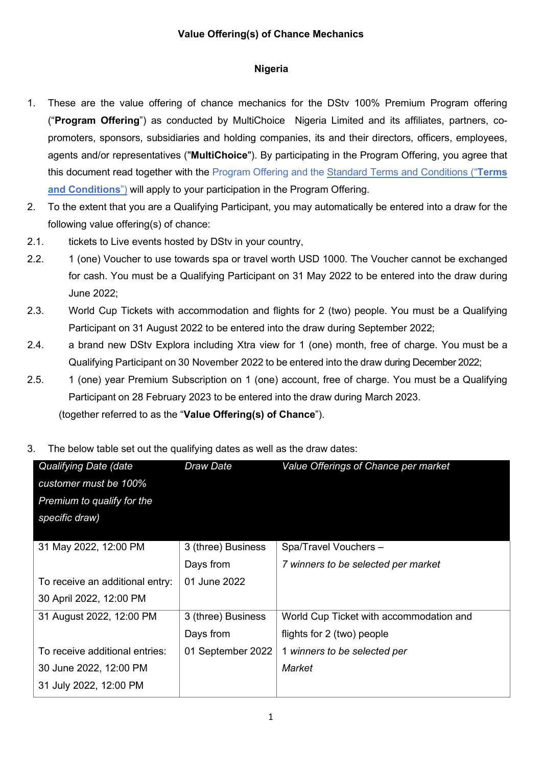## **Value Offering(s) of Chance Mechanics**

## **Nigeria**

- 1. These are the value offering of chance mechanics for the DStv 100% Premium Program offering ("**Program Offering**") as conducted by MultiChoice Nigeria Limited and its affiliates, partners, copromoters, sponsors, subsidiaries and holding companies, its and their directors, officers, employees, agents and/or representatives ("**MultiChoice**"). By participating in the Program Offering, you agree that this document read together with the Program Offering and the Standard Terms and [Conditions](https://www.multichoice.com/media/2148/standard-terms-and-conditions-applicable-to-campaigns-or-promotions-or-competitions-new.pdf) ("**Terms and Conditions**") will apply to your participation in the Program Offering.
- 2. To the extent that you are a Qualifying Participant, you may automatically be entered into a draw for the following value offering(s) of chance:
- 2.1. tickets to Live events hosted by DStv in your country,
- 2.2. 1 (one) Voucher to use towards spa or travel worth USD 1000. The Voucher cannot be exchanged for cash. You must be a Qualifying Participant on 31 May 2022 to be entered into the draw during June 2022;
- 2.3. World Cup Tickets with accommodation and flights for 2 (two) people. You must be a Qualifying Participant on 31 August 2022 to be entered into the draw during September 2022;
- 2.4. a brand new DStv Explora including Xtra view for 1 (one) month, free of charge. You must be a Qualifying Participant on 30 November 2022 to be entered into the draw during December 2022;
- 2.5. 1 (one) year Premium Subscription on 1 (one) account, free of charge. You must be a Qualifying Participant on 28 February 2023 to be entered into the draw during March 2023.

(together referred to as the "**Value Offering(s) of Chance**").

3. The below table set out the qualifying dates as well as the draw dates:

| Qualifying Date (date           | Draw Date          | Value Offerings of Chance per market    |
|---------------------------------|--------------------|-----------------------------------------|
| customer must be 100%           |                    |                                         |
| Premium to qualify for the      |                    |                                         |
| specific draw)                  |                    |                                         |
|                                 |                    |                                         |
| 31 May 2022, 12:00 PM           | 3 (three) Business | Spa/Travel Vouchers -                   |
|                                 | Days from          | 7 winners to be selected per market     |
| To receive an additional entry: | 01 June 2022       |                                         |
| 30 April 2022, 12:00 PM         |                    |                                         |
| 31 August 2022, 12:00 PM        | 3 (three) Business | World Cup Ticket with accommodation and |
|                                 | Days from          | flights for 2 (two) people              |
| To receive additional entries:  | 01 September 2022  | 1 winners to be selected per            |
| 30 June 2022, 12:00 PM          |                    | Market                                  |
| 31 July 2022, 12:00 PM          |                    |                                         |